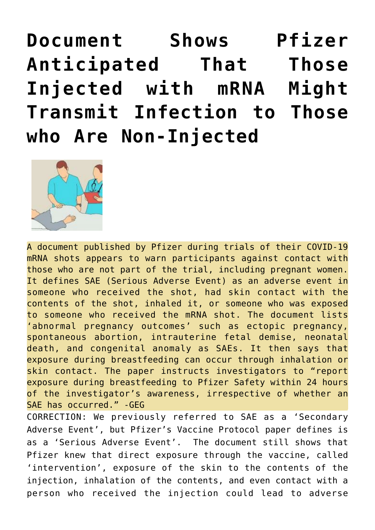**[Document Shows Pfizer](https://needtoknow.news/2021/04/document-shows-pfizer-anticipated-that-those-injected-with-mrna-might-transmit-infection-to-those-who-are-non-injected/) [Anticipated That Those](https://needtoknow.news/2021/04/document-shows-pfizer-anticipated-that-those-injected-with-mrna-might-transmit-infection-to-those-who-are-non-injected/) [Injected with mRNA Might](https://needtoknow.news/2021/04/document-shows-pfizer-anticipated-that-those-injected-with-mrna-might-transmit-infection-to-those-who-are-non-injected/) [Transmit Infection to Those](https://needtoknow.news/2021/04/document-shows-pfizer-anticipated-that-those-injected-with-mrna-might-transmit-infection-to-those-who-are-non-injected/) [who Are Non-Injected](https://needtoknow.news/2021/04/document-shows-pfizer-anticipated-that-those-injected-with-mrna-might-transmit-infection-to-those-who-are-non-injected/)**



A document published by Pfizer during trials of their COVID-19 mRNA shots appears to warn participants against contact with those who are not part of the trial, including pregnant women. It defines SAE (Serious Adverse Event) as an adverse event in someone who received the shot, had skin contact with the contents of the shot, inhaled it, or someone who was exposed to someone who received the mRNA shot. The document lists 'abnormal pregnancy outcomes' such as ectopic pregnancy, spontaneous abortion, intrauterine fetal demise, neonatal death, and congenital anomaly as SAEs. It then says that exposure during breastfeeding can occur through inhalation or skin contact. The paper instructs investigators to "report exposure during breastfeeding to Pfizer Safety within 24 hours of the investigator's awareness, irrespective of whether an SAE has occurred." -GEG

CORRECTION: We previously referred to SAE as a 'Secondary Adverse Event', but Pfizer's Vaccine Protocol paper defines is as a 'Serious Adverse Event'. The document still shows that Pfizer knew that direct exposure through the vaccine, called 'intervention', exposure of the skin to the contents of the injection, inhalation of the contents, and even contact with a person who received the injection could lead to adverse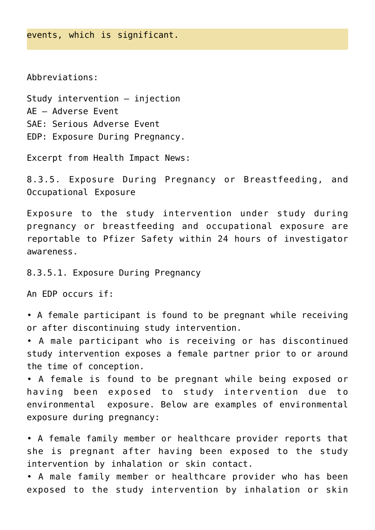Abbreviations:

Study intervention – injection AE – Adverse Event SAE: Serious Adverse Event EDP: Exposure During Pregnancy.

Excerpt from Health Impact News:

8.3.5. Exposure During Pregnancy or Breastfeeding, and Occupational Exposure

Exposure to the study intervention under study during pregnancy or breastfeeding and occupational exposure are reportable to Pfizer Safety within 24 hours of investigator awareness.

8.3.5.1. Exposure During Pregnancy

An EDP occurs if:

• A female participant is found to be pregnant while receiving or after discontinuing study intervention.

• A male participant who is receiving or has discontinued study intervention exposes a female partner prior to or around the time of conception.

• A female is found to be pregnant while being exposed or having been exposed to study intervention due to environmental exposure. Below are examples of environmental exposure during pregnancy:

• A female family member or healthcare provider reports that she is pregnant after having been exposed to the study intervention by inhalation or skin contact.

• A male family member or healthcare provider who has been exposed to the study intervention by inhalation or skin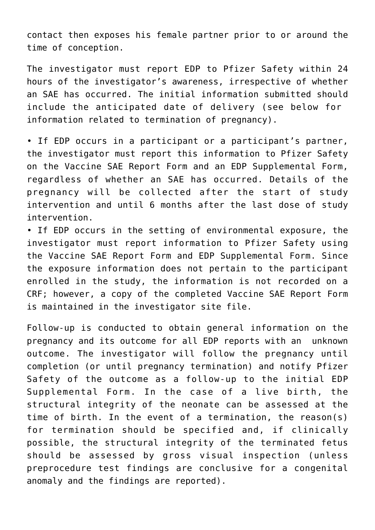contact then exposes his female partner prior to or around the time of conception.

The investigator must report EDP to Pfizer Safety within 24 hours of the investigator's awareness, irrespective of whether an SAE has occurred. The initial information submitted should include the anticipated date of delivery (see below for information related to termination of pregnancy).

• If EDP occurs in a participant or a participant's partner, the investigator must report this information to Pfizer Safety on the Vaccine SAE Report Form and an EDP Supplemental Form, regardless of whether an SAE has occurred. Details of the pregnancy will be collected after the start of study intervention and until 6 months after the last dose of study intervention.

• If EDP occurs in the setting of environmental exposure, the investigator must report information to Pfizer Safety using the Vaccine SAE Report Form and EDP Supplemental Form. Since the exposure information does not pertain to the participant enrolled in the study, the information is not recorded on a CRF; however, a copy of the completed Vaccine SAE Report Form is maintained in the investigator site file.

Follow-up is conducted to obtain general information on the pregnancy and its outcome for all EDP reports with an unknown outcome. The investigator will follow the pregnancy until completion (or until pregnancy termination) and notify Pfizer Safety of the outcome as a follow-up to the initial EDP Supplemental Form. In the case of a live birth, the structural integrity of the neonate can be assessed at the time of birth. In the event of a termination, the reason(s) for termination should be specified and, if clinically possible, the structural integrity of the terminated fetus should be assessed by gross visual inspection (unless preprocedure test findings are conclusive for a congenital anomaly and the findings are reported).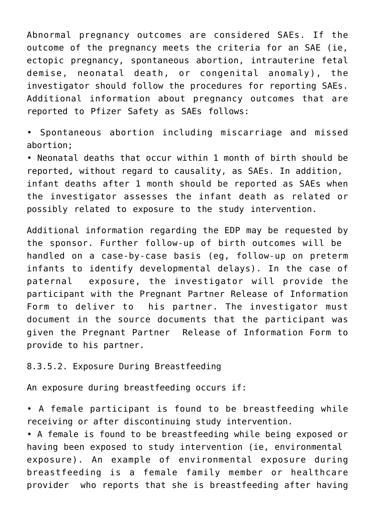Abnormal pregnancy outcomes are considered SAEs. If the outcome of the pregnancy meets the criteria for an SAE (ie, ectopic pregnancy, spontaneous abortion, intrauterine fetal demise, neonatal death, or congenital anomaly), the investigator should follow the procedures for reporting SAEs. Additional information about pregnancy outcomes that are reported to Pfizer Safety as SAEs follows:

• Spontaneous abortion including miscarriage and missed abortion;

• Neonatal deaths that occur within 1 month of birth should be reported, without regard to causality, as SAEs. In addition, infant deaths after 1 month should be reported as SAEs when the investigator assesses the infant death as related or possibly related to exposure to the study intervention.

Additional information regarding the EDP may be requested by the sponsor. Further follow-up of birth outcomes will be handled on a case-by-case basis (eg, follow-up on preterm infants to identify developmental delays). In the case of paternal exposure, the investigator will provide the participant with the Pregnant Partner Release of Information Form to deliver to his partner. The investigator must document in the source documents that the participant was given the Pregnant Partner Release of Information Form to provide to his partner.

## 8.3.5.2. Exposure During Breastfeeding

An exposure during breastfeeding occurs if:

• A female participant is found to be breastfeeding while receiving or after discontinuing study intervention.

• A female is found to be breastfeeding while being exposed or having been exposed to study intervention (ie, environmental exposure). An example of environmental exposure during breastfeeding is a female family member or healthcare provider who reports that she is breastfeeding after having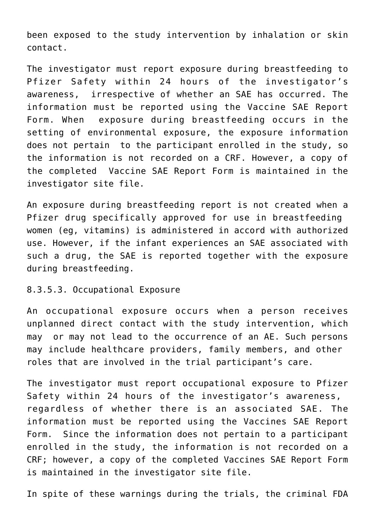been exposed to the study intervention by inhalation or skin contact.

The investigator must report exposure during breastfeeding to Pfizer Safety within 24 hours of the investigator's awareness, irrespective of whether an SAE has occurred. The information must be reported using the Vaccine SAE Report Form. When exposure during breastfeeding occurs in the setting of environmental exposure, the exposure information does not pertain to the participant enrolled in the study, so the information is not recorded on a CRF. However, a copy of the completed Vaccine SAE Report Form is maintained in the investigator site file.

An exposure during breastfeeding report is not created when a Pfizer drug specifically approved for use in breastfeeding women (eg, vitamins) is administered in accord with authorized use. However, if the infant experiences an SAE associated with such a drug, the SAE is reported together with the exposure during breastfeeding.

8.3.5.3. Occupational Exposure

An occupational exposure occurs when a person receives unplanned direct contact with the study intervention, which may or may not lead to the occurrence of an AE. Such persons may include healthcare providers, family members, and other roles that are involved in the trial participant's care.

The investigator must report occupational exposure to Pfizer Safety within 24 hours of the investigator's awareness, regardless of whether there is an associated SAE. The information must be reported using the Vaccines SAE Report Form. Since the information does not pertain to a participant enrolled in the study, the information is not recorded on a CRF; however, a copy of the completed Vaccines SAE Report Form is maintained in the investigator site file.

In spite of these warnings during the trials, the criminal FDA